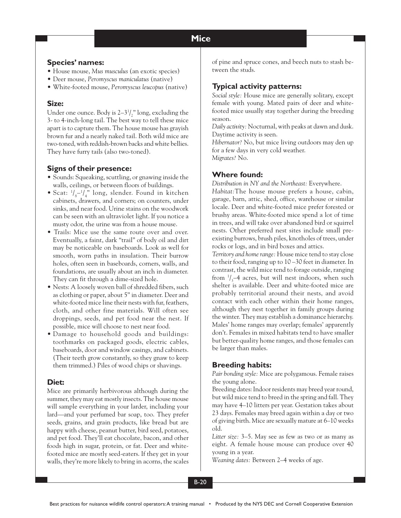#### **Mice Mice**

## **Species' names:**

- House mouse, *Mus musculus* (an exotic species)
- *•* Deer mouse, *Peromyscus maniculatus* (native)
- White-footed mouse, *Peromyscus leucopus* (native)

### **Size:**

Under one ounce. Body is  $2-3<sup>1</sup>/2$ " long, excluding the 3- to 4-inch-long tail. The best way to tell these mice apart is to capture them. The house mouse has grayish brown fur and a nearly naked tail. Both wild mice are two-toned, with reddish-brown backs and white bellies. They have furry tails (also two-toned).

# **Signs of their presence:**

- Sounds: Squeaking, scuttling, or gnawing inside the walls, ceilings, or between floors of buildings.
- Scat:  $\frac{1}{8}$ - $\frac{1}{4}$ " long, slender. Found in kitchen cabinets, drawers, and corners; on counters, under sinks, and near food. Urine stains on the woodwork can be seen with an ultraviolet light. If you notice a musty odor, the urine was from a house mouse.
- Trails: Mice use the same route over and over. Eventually, a faint, dark "trail" of body oil and dirt may be noticeable on baseboards. Look as well for smooth, worn paths in insulation. Their burrow holes, often seen in baseboards, corners, walls, and foundations, are usually about an inch in diameter. They can fit through a dime-sized hole.
- Nests: A loosely woven ball of shredded fibers, such as clothing or paper, about 5" in diameter. Deer and white-footed mice line their nests with fur, feathers, cloth, and other fine materials. Will often see droppings, seeds, and pet food near the nest. If possible, mice will choose to nest near food.
- Damage to household goods and buildings: toothmarks on packaged goods, electric cables, baseboards, door and window casings, and cabinets. (Their teeth grow constantly, so they gnaw to keep them trimmed.) Piles of wood chips or shavings.

## **Diet:**

Mice are primarily herbivorous although during the summer, they may eat mostly insects. The house mouse will sample everything in your larder, including your lard—and your perfumed bar soap, too. They prefer seeds, grains, and grain products, like bread but are happy with cheese, peanut butter, bird seed, potatoes, and pet food. They'll eat chocolate, bacon, and other foods high in sugar, protein, or fat. Deer and whitefooted mice are mostly seed-eaters. If they get in your walls, they're more likely to bring in acorns, the scales of pine and spruce cones, and beech nuts to stash between the studs.

# **Typical activity patterns:**

*Social style:* House mice are generally solitary, except female with young. Mated pairs of deer and whitefooted mice usually stay together during the breeding season.

*Daily activity:* Nocturnal, with peaks at dawn and dusk. Daytime activity is seen.

*Hibernator?* No, but mice living outdoors may den up for a few days in very cold weather. *Migrates?* No.

## **Where found:**

*Distribution in NY and the Northeast:* Everywhere.

*Habitat:*The house mouse prefers a house, cabin, garage, barn, attic, shed, office, warehouse or similar locale. Deer and white-footed mice prefer forested or brushy areas. White-footed mice spend a lot of time in trees, and will take over abandoned bird or squirrel nests. Other preferred nest sites include small preexisting burrows, brush piles, knotholes of trees, under rocks or logs, and in bird boxes and attics.

*Territory and home range:* House mice tend to stay close to their food, ranging up to 10 –30 feet in diameter. In contrast, the wild mice tend to forage outside, ranging from  $\frac{1}{3}$ –4 acres, but will nest indoors, when such shelter is available. Deer and white-footed mice are probably territorial around their nests, and avoid contact with each other within their home ranges, although they nest together in family groups during the winter. They may establish a dominance hierarchy. Males' home ranges may overlap; females' apparently don't. Females in mixed habitats tend to have smaller but better-quality home ranges, and those females can be larger than males.

# **Breeding habits:**

*Pair bonding style:* Mice are polygamous. Female raises the young alone.

Breeding dates: Indoor residents may breed year round, but wild mice tend to breed in the spring and fall. They may have 4–10 litters per year. Gestation takes about 23 days. Females may breed again within a day or two of giving birth. Mice are sexually mature at 6–10 weeks old.

*Litter size:* 3–5. May see as few as two or as many as eight. A female house mouse can produce over 40 young in a year.

*Weaning dates:* Between 2–4 weeks of age.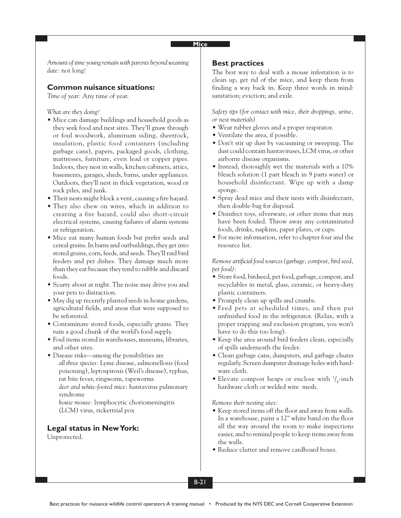### **Mice**

*Amount of time young remain with parents beyond weaning date:* not long!

## **Common nuisance situations:**

*Time of year:* Any time of year.

*What are they doing?*

- Mice can damage buildings and household goods as they seek food and nest sites. They'll gnaw through or foul woodwork, aluminum siding, sheetrock, insulation, plastic food containers (including garbage cans), papers, packaged goods, clothing, mattresses, furniture, even lead or copper pipes. Indoors, they nest in walls, kitchen cabinets, attics, basements, garages, sheds, barns, under appliances. Outdoors, they'll nest in thick vegetation, wood or rock piles, and junk.
- Their nests might block a vent, causing a fire hazard.
- They also chew on wires, which in addition to creating a fire hazard, could also short-circuit electrical systems, causing failures of alarm systems or refrigeration.
- Mice eat many human foods but prefer seeds and cereal grains. In barns and outbuildings, they get into stored grains, corn, feeds, and seeds. They'll raid bird feeders and pet dishes. They damage much more than they eat because they tend to nibble and discard foods.
- Scurry about at night. The noise may drive you and your pets to distraction.
- May dig up recently planted seeds in home gardens, agricultural fields, and areas that were supposed to be reforested.
- Contaminate stored foods, especially grains. They ruin a good chunk of the world's food supply.
- Foul items stored in warehouses, museums, libraries, and other sites.
- Disease risks—among the possibilities are *all three species:* Lyme disease, salmonellosis (food poisoning), leptospirosis (Weil's disease), typhus, rat bite fever, ringworm, tapeworms *deer and white-footed mice:* hantavirus pulmonary syndrome

*house mouse:* lymphocytic choriomeningitis (LCM) virus, rickettsial pox

## **Legal status in New York:**

Unprotected.

### **Best practices**

The best way to deal with a mouse infestation is to clean up, get rid of the mice, and keep them from finding a way back in. Keep three words in mind: sanitation; eviction; and exile.

*Safety tips (for contact with mice, their droppings, urine, or nest materials)*

- Wear rubber gloves and a proper respirator.
- Ventilate the area, if possible.
- Don't stir up dust by vacuuming or sweeping. The dust could contain hantaviruses, LCM virus, or other airborne disease organisms.
- Instead, thoroughly wet the materials with a 10% bleach solution (1 part bleach in 9 parts water) or household disinfectant. Wipe up with a damp sponge.
- Spray dead mice and their nests with disinfectant, then double-bag for disposal.
- Disinfect toys, silverware, or other items that may have been fouled. Throw away any contaminated foods, drinks, napkins, paper plates, or cups.
- For more information, refer to chapter four and the resource list.

*Remove artificial food sources (garbage, compost, bird seed, pet food):*

- Store food, birdseed, pet food, garbage, compost, and recyclables in metal, glass, ceramic, or heavy-duty plastic containers.
- Promptly clean up spills and crumbs.
- Feed pets at scheduled times, and then put unfinished food in the refrigerator. (Relax, with a proper trapping and exclusion program, you won't have to do this too long).
- Keep the area around bird feeders clean, especially of spills underneath the feeder.
- Clean garbage cans, dumpsters, and garbage chutes regularly. Screen dumpster drainage holes with hardware cloth.
- Elevate compost heaps or enclose with  $\frac{1}{4}$ -inch hardware cloth or welded wire mesh.

*Remove their nesting sites:*

- Keep stored items off the floor and away from walls. In a warehouse, paint a 12" white band on the floor all the way around the room to make inspections easier, and to remind people to keep items away from the walls.
- Reduce clutter and remove cardboard boxes.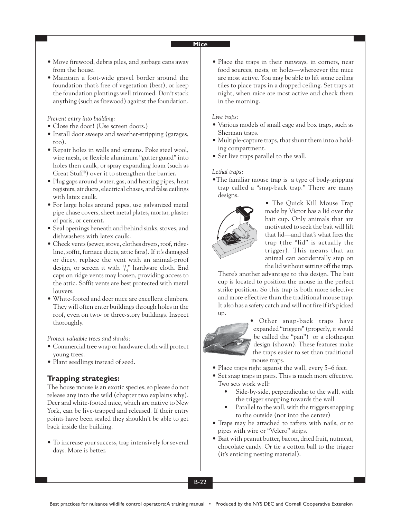### **Mice**

- Move firewood, debris piles, and garbage cans away from the house.
- Maintain a foot-wide gravel border around the foundation that's free of vegetation (best), or keep the foundation plantings well trimmed. Don't stack anything (such as firewood) against the foundation.

*Prevent entry into building:*

- Close the door! (Use screen doors.)
- Install door sweeps and weather-stripping (garages, too).
- Repair holes in walls and screens. Poke steel wool, wire mesh, or flexible aluminum "gutter guard" into holes then caulk, or spray expanding foam (such as Great Stuff®) over it to strengthen the barrier.
- Plug gaps around water, gas, and heating pipes, heat registers, air ducts, electrical chases, and false ceilings with latex caulk.
- For large holes around pipes, use galvanized metal pipe chase covers, sheet metal plates, mortar, plaster of paris, or cement.
- Seal openings beneath and behind sinks, stoves, and dishwashers with latex caulk.
- Check vents (sewer, stove, clothes dryers, roof, ridgeline, soffit, furnace ducts, attic fans). If it's damaged or dicey, replace the vent with an animal-proof design, or screen it with  $\frac{1}{4}$ " hardware cloth. End caps on ridge vents may loosen, providing access to the attic. Soffit vents are best protected with metal louvers.
- White-footed and deer mice are excellent climbers. They will often enter buildings through holes in the roof, even on two- or three-story buildings. Inspect thoroughly.

*Protect valuable trees and shrubs:*

- Commercial tree wrap or hardware cloth will protect young trees.
- Plant seedlings instead of seed.

# **Trapping strategies:**

The house mouse is an exotic species, so please do not release any into the wild (chapter two explains why). Deer and white-footed mice, which are native to New York, can be live-trapped and released. If their entry points have been sealed they shouldn't be able to get back inside the building.

• To increase your success, trap intensively for several days. More is better.

• Place the traps in their runways, in corners, near food sources, nests, or holes—whereever the mice are most active. You may be able to lift some ceiling tiles to place traps in a dropped ceiling. Set traps at night, when mice are most active and check them in the morning.

#### *Live traps:*

- Various models of small cage and box traps, such as Sherman traps.
- Multiple-capture traps, that shunt them into a holding compartment.
- Set live traps parallel to the wall.

#### *Lethal traps:*

•The familiar mouse trap is a type of body-gripping trap called a "snap-back trap." There are many designs.



• The Quick Kill Mouse Trap made by Victor has a lid over the bait cup. Only animals that are motivated to seek the bait will lift that lid—and that's what fires the trap (the "lid" is actually the trigger). This means that an animal can accidentally step on the lid without setting off the trap.

There's another advantage to this design. The bait cup is located to position the mouse in the perfect strike position. So this trap is both more selective and more effective than the traditional mouse trap. It also has a safety catch and will not fire if it's picked up.



• Other snap-back traps have expanded "triggers" (properly, it would be called the "pan") or a clothespin design (shown). These features make the traps easier to set than traditional mouse traps.

- Place traps right against the wall, every 5–6 feet.
- Set snap traps in pairs. This is much more effective. Two sets work well:
	- Side-by-side, perpendicular to the wall, with the trigger snapping towards the wall
	- Parallel to the wall, with the triggers snapping to the outside (not into the center)
- Traps may be attached to rafters with nails, or to pipes with wire or "Velcro" strips.
- Bait with peanut butter, bacon, dried fruit, nutmeat, chocolate candy. Or tie a cotton ball to the trigger (it's enticing nesting material).

B-22